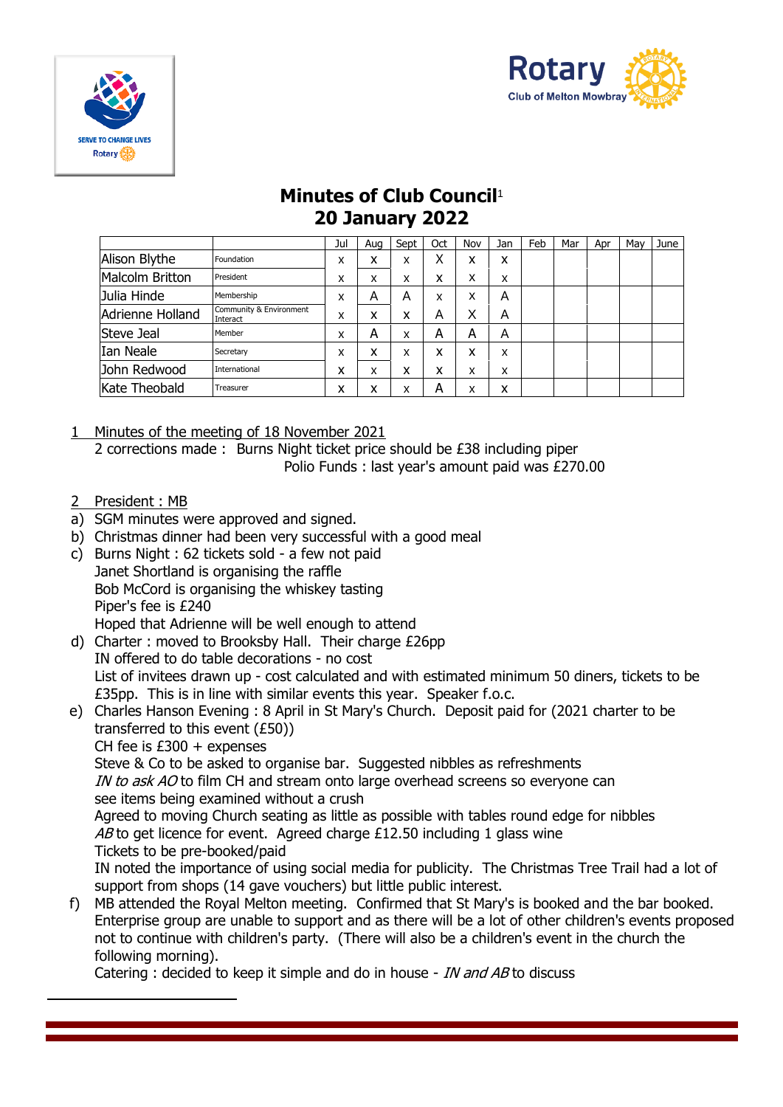



## **Minutes of Club Council**<sup>1</sup> **20 January 2022**

|                  |                                     | Jul    | Aua    | Sept | 0ct | Nov | Jan | Feb | Mar | Apr | May | June |
|------------------|-------------------------------------|--------|--------|------|-----|-----|-----|-----|-----|-----|-----|------|
| Alison Blythe    | Foundation                          | x      | x      | x    | Χ   | x   | x   |     |     |     |     |      |
| Malcolm Britton  | President                           | x      | x      | x    | x   | x   | x   |     |     |     |     |      |
| Julia Hinde      | Membership                          | x      | Α      | Α    | X   | x   | Α   |     |     |     |     |      |
| Adrienne Holland | Community & Environment<br>Interact | x      | x      | x    | Α   | X   | Α   |     |     |     |     |      |
| Steve Jeal       | Member                              | x      | А      | x    | A   | А   | Α   |     |     |     |     |      |
| Ian Neale        | Secretary                           | x      | x      | x    | x   | x   | x   |     |     |     |     |      |
| John Redwood     | International                       | x      | x      | x    | x   | x   | x   |     |     |     |     |      |
| Kate Theobald    | Treasurer                           | v<br>ᄉ | v<br>⋏ | x    | А   | x   | x   |     |     |     |     |      |

- 1 Minutes of the meeting of 18 November 2021 2 corrections made : Burns Night ticket price should be £38 including piper Polio Funds : last year's amount paid was £270.00
- 2 President : MB
- a) SGM minutes were approved and signed.
- b) Christmas dinner had been very successful with a good meal
- c) Burns Night : 62 tickets sold a few not paid Janet Shortland is organising the raffle Bob McCord is organising the whiskey tasting Piper's fee is £240 Hoped that Adrienne will be well enough to attend
- d) Charter : moved to Brooksby Hall. Their charge £26pp IN offered to do table decorations - no cost List of invitees drawn up - cost calculated and with estimated minimum 50 diners, tickets to be £35pp. This is in line with similar events this year. Speaker f.o.c.
- e) Charles Hanson Evening : 8 April in St Mary's Church. Deposit paid for (2021 charter to be transferred to this event (£50)) CH fee is  $£300 +$  expenses Steve & Co to be asked to organise bar. Suggested nibbles as refreshments IN to ask AO to film CH and stream onto large overhead screens so everyone can see items being examined without a crush Agreed to moving Church seating as little as possible with tables round edge for nibbles AB to get licence for event. Agreed charge £12.50 including 1 glass wine Tickets to be pre-booked/paid IN noted the importance of using social media for publicity. The Christmas Tree Trail had a lot of support from shops (14 gave vouchers) but little public interest.
- f) MB attended the Royal Melton meeting. Confirmed that St Mary's is booked and the bar booked. Enterprise group are unable to support and as there will be a lot of other children's events proposed not to continue with children's party. (There will also be a children's event in the church the following morning).

Catering : decided to keep it simple and do in house - *IN and AB* to discuss